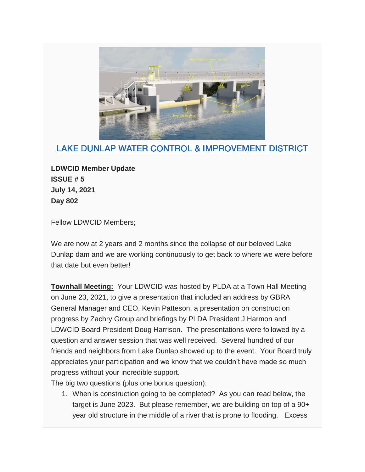

## LAKE DUNLAP WATER CONTROL & IMPROVEMENT DISTRICT

**LDWCID Member Update ISSUE # 5 July 14, 2021 Day 802**

Fellow LDWCID Members;

We are now at 2 years and 2 months since the collapse of our beloved Lake Dunlap dam and we are working continuously to get back to where we were before that date but even better!

**Townhall Meeting:** Your LDWCID was hosted by PLDA at a Town Hall Meeting on June 23, 2021, to give a presentation that included an address by GBRA General Manager and CEO, Kevin Patteson, a presentation on construction progress by Zachry Group and briefings by PLDA President J Harmon and LDWCID Board President Doug Harrison. The presentations were followed by a question and answer session that was well received. Several hundred of our friends and neighbors from Lake Dunlap showed up to the event. Your Board truly appreciates your participation and we know that we couldn't have made so much progress without your incredible support.

The big two questions (plus one bonus question):

1. When is construction going to be completed? As you can read below, the target is June 2023. But please remember, we are building on top of a 90+ year old structure in the middle of a river that is prone to flooding. Excess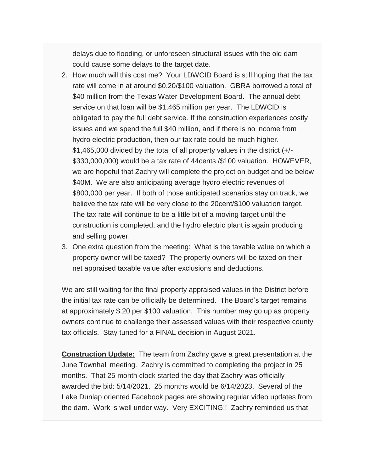delays due to flooding, or unforeseen structural issues with the old dam could cause some delays to the target date.

- 2. How much will this cost me? Your LDWCID Board is still hoping that the tax rate will come in at around \$0.20/\$100 valuation. GBRA borrowed a total of \$40 million from the Texas Water Development Board. The annual debt service on that loan will be \$1.465 million per year. The LDWCID is obligated to pay the full debt service. If the construction experiences costly issues and we spend the full \$40 million, and if there is no income from hydro electric production, then our tax rate could be much higher. \$1,465,000 divided by the total of all property values in the district (+/- \$330,000,000) would be a tax rate of 44cents /\$100 valuation. HOWEVER, we are hopeful that Zachry will complete the project on budget and be below \$40M. We are also anticipating average hydro electric revenues of \$800,000 per year. If both of those anticipated scenarios stay on track, we believe the tax rate will be very close to the 20cent/\$100 valuation target. The tax rate will continue to be a little bit of a moving target until the construction is completed, and the hydro electric plant is again producing and selling power.
- 3. One extra question from the meeting: What is the taxable value on which a property owner will be taxed? The property owners will be taxed on their net appraised taxable value after exclusions and deductions.

We are still waiting for the final property appraised values in the District before the initial tax rate can be officially be determined. The Board's target remains at approximately \$.20 per \$100 valuation. This number may go up as property owners continue to challenge their assessed values with their respective county tax officials. Stay tuned for a FINAL decision in August 2021.

**Construction Update:** The team from Zachry gave a great presentation at the June Townhall meeting. Zachry is committed to completing the project in 25 months. That 25 month clock started the day that Zachry was officially awarded the bid: 5/14/2021. 25 months would be 6/14/2023. Several of the Lake Dunlap oriented Facebook pages are showing regular video updates from the dam. Work is well under way. Very EXCITING!! Zachry reminded us that